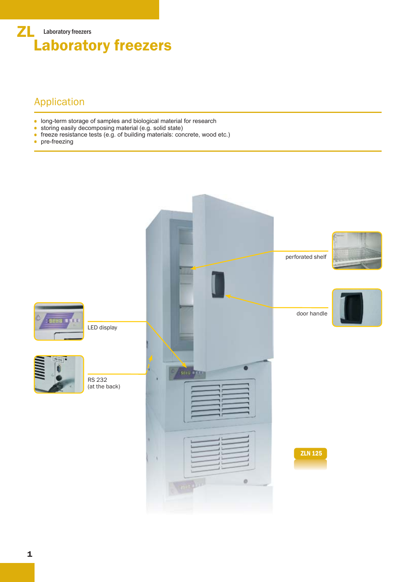

## Application

- long-term storage of samples and biological material for research
- storing easily decomposing material (e.g. solid state)
- freeze resistance tests (e.g. of building materials: concrete, wood etc.)
- $\bullet$ pre-freezing

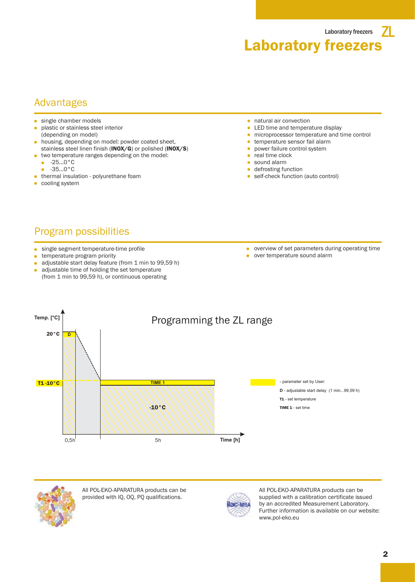Laboratory freezers  $\blacksquare$ Laboratory freezers

#### Advantages

- single chamber models
- plastic or stainless steel interior (depending on model)
- housing, depending on model: powder coated sheet, stainless steel linen finish (INOX/G) or polished (INOX/S)
- two temperature ranges depending on the model:  $-25...0$ °C
- $-35...0$ °C
- **•** thermal insulation polyurethane foam
- **cooling system**
- $\bullet$ natural air convection
- LED time and temperature display  $\bullet$
- microprocessor temperature and time control  $\bullet$
- temperature sensor fail alarm
- power failure control system
- real time clock
- sound alarm
- **defrosting function**
- **self-check function (auto control)**

# Program possibilities

- single segment temperature-time profile
- temperature program priority  $\bullet$
- adjustable start delay feature (from 1 min to 99,59 h)  $\bullet$
- adjustable time of holding the set temperature (from 1 min to 99,59 h), or continuous operating
- overview of set parameters during operating time
- over temperature sound alarm





All POL-EKO-APARATURA products can be provided with IQ, OQ, PQ qualifications.



All POL-EKO-APARATURA products can be supplied with a calibration certificate issued by an accredited Measurement Laboratory. Further information is available on our website: www.pol-eko.eu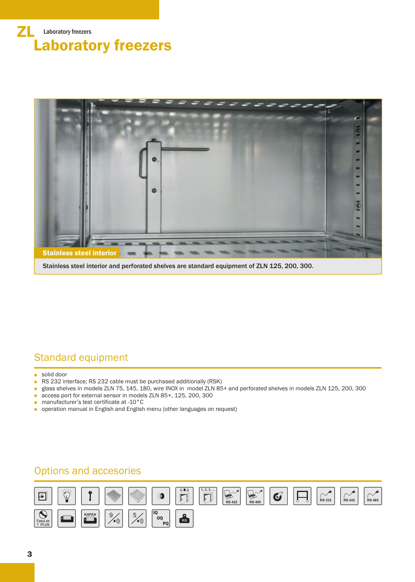



Stainless steel interior and perforated shelves are standard equipment of ZLN 125, 200, 300.

# Standard equipment

solid door

- RS 232 interface; RS 232 cable must be purchased additionally (RSK)
- glass shelves in models ZLN 75, 145, 180, wire INOX in model ZLN 85+ and perforated shelves in models ZLN 125, 200, 300
- access port for external sensor in models ZLN 85+, 125, 200, 300  $\bullet$
- manufacturer's test certificate at -10°C
- operation manual in English and English menu (other languages on request)

### Options and accesories

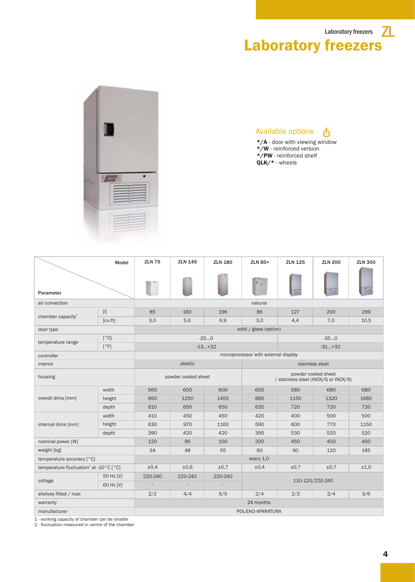



Available options ⚠ \*/A - door with viewing window \*/W - reinforced version \*/PW - reinforced shelf

QLK/\* - wheels

ZLN 75 ZLN 145 ZLN 180 ZLN 85+ ZLN 125 196 6,9 34 160 5,6 110-120/220-240 85 3,0 560 850 610 410 630 390 120 2/2 -25...0 -13...+32 600 1250 650 450 970 420 96 600 1455 650 450 1160 420 100 4/4 5/5 ±0,4 220-240 - 48 55 127 4,4 -35...0  $-31...+32$ 580 1150 720 400 600 530 450 2/3 90 ZLN 180 ±0,6 220-240 - ±0,7 220-240 - ±0,7 ZLN 200 ZLN 300 200 7,0 299 10,5 680 1320 720 500 770 520 450 2/4 120 ±0,7 680 1680 720 500 1150 520 450 3/6 185 ±1,0 ZLN 85+ 86 3,0 600 885 635 420 590 395 200 2/4 60 ±0,4 Model Parameter weight [kg] door type housing plastic controller microprocessor with external display temperature range nominal power [W] temperature accuracy [°C] temperature fluctuation<sup>2</sup> at -10 $^{\circ}$ C [ $^{\circ}$ C] voltage shelves fitted / max air convection and the convection of the convection of the convection of the convection of the convection of the convex of the convex of the convex of the convex of the convex of the convex of the convex of the convex of t chamber capacity $1$ solid / glass (option) every 1,0 interior manufacturer POL-EKO-APARATURA powder coated sheet warranty 24 months stainless steel powder coated sheet / stainless steel (INOX/G or INOX/S) internal dims [mm] width height depth 50 Hz [V] 60 Hz [V] width  $[°C]$  $[°F]$ [l] [cu ft] height depth overall dims [mm]

1 - working capacity of chamber can be smaller

2 - fluctuation measured in centre of the chamber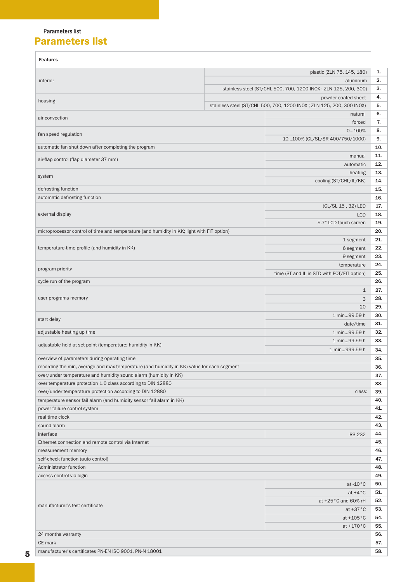#### Parameters list Parameters list

ł.

|                                                                                            | plastic (ZLN 75, 145, 180)                                           |                                             |  |  |  |  |  |  |
|--------------------------------------------------------------------------------------------|----------------------------------------------------------------------|---------------------------------------------|--|--|--|--|--|--|
| interior                                                                                   | aluminum                                                             |                                             |  |  |  |  |  |  |
|                                                                                            | stainless steel (ST/CHL 500, 700, 1200 INOX; ZLN 125, 200, 300)      |                                             |  |  |  |  |  |  |
| housing                                                                                    | powder coated sheet                                                  |                                             |  |  |  |  |  |  |
|                                                                                            | stainless steel (ST/CHL 500, 700, 1200 INOX; ZLN 125, 200, 300 INOX) |                                             |  |  |  |  |  |  |
| air convection                                                                             |                                                                      | natural                                     |  |  |  |  |  |  |
|                                                                                            |                                                                      | forced                                      |  |  |  |  |  |  |
| fan speed regulation                                                                       |                                                                      | 0100%                                       |  |  |  |  |  |  |
|                                                                                            |                                                                      | 10100% (CL/SL/SR 400/750/1000)              |  |  |  |  |  |  |
| automatic fan shut down after completing the program                                       |                                                                      |                                             |  |  |  |  |  |  |
| air-flap control (flap diameter 37 mm)                                                     | manual                                                               |                                             |  |  |  |  |  |  |
|                                                                                            |                                                                      | automatic                                   |  |  |  |  |  |  |
|                                                                                            |                                                                      | heating                                     |  |  |  |  |  |  |
| system                                                                                     |                                                                      | cooling (ST/CHL/IL/KK)                      |  |  |  |  |  |  |
| defrosting function                                                                        |                                                                      |                                             |  |  |  |  |  |  |
| automatic defrosting function                                                              |                                                                      |                                             |  |  |  |  |  |  |
|                                                                                            |                                                                      | (CL/SL 15, 32) LED                          |  |  |  |  |  |  |
| external display                                                                           |                                                                      | <b>LCD</b>                                  |  |  |  |  |  |  |
|                                                                                            |                                                                      | 5.7" LCD touch screen                       |  |  |  |  |  |  |
| microprocessor control of time and temperature (and humidity in KK; light with FIT option) |                                                                      |                                             |  |  |  |  |  |  |
|                                                                                            |                                                                      | 1 segment                                   |  |  |  |  |  |  |
| temperature-time profile (and humidity in KK)                                              |                                                                      | 6 segment                                   |  |  |  |  |  |  |
|                                                                                            |                                                                      | 9 segment                                   |  |  |  |  |  |  |
|                                                                                            |                                                                      |                                             |  |  |  |  |  |  |
| program priority                                                                           |                                                                      | temperature                                 |  |  |  |  |  |  |
|                                                                                            |                                                                      | time (ST and IL in STD with FOT/FIT option) |  |  |  |  |  |  |
| cycle run of the program                                                                   |                                                                      |                                             |  |  |  |  |  |  |
|                                                                                            |                                                                      | $\mathbf{1}$                                |  |  |  |  |  |  |
| user programs memory                                                                       |                                                                      | 3                                           |  |  |  |  |  |  |
|                                                                                            |                                                                      | 20                                          |  |  |  |  |  |  |
| start delay                                                                                |                                                                      | 1 min99,59 h                                |  |  |  |  |  |  |
|                                                                                            |                                                                      | date/time                                   |  |  |  |  |  |  |
| adjustable heating up time                                                                 |                                                                      | 1 min99,59 h                                |  |  |  |  |  |  |
| adjustable hold at set point (temperature; humidity in KK)                                 |                                                                      | 1 min99,59 h                                |  |  |  |  |  |  |
|                                                                                            |                                                                      | 1 min999,59 h                               |  |  |  |  |  |  |
| overview of parameters during operating time                                               |                                                                      |                                             |  |  |  |  |  |  |
| recording the min, average and max temperature (and humidity in KK) value for each segment |                                                                      |                                             |  |  |  |  |  |  |
| over/under temperature and humidity sound alarm (humidity in KK)                           |                                                                      |                                             |  |  |  |  |  |  |
| over temperature protection 1.0 class according to DIN 12880                               |                                                                      |                                             |  |  |  |  |  |  |
| over/under temperature protection according to DIN 12880                                   |                                                                      | class:                                      |  |  |  |  |  |  |
| temperature sensor fail alarm (and humidity sensor fail alarm in KK)                       |                                                                      |                                             |  |  |  |  |  |  |
|                                                                                            |                                                                      |                                             |  |  |  |  |  |  |
|                                                                                            |                                                                      |                                             |  |  |  |  |  |  |
| power failure control system<br>real time clock                                            |                                                                      |                                             |  |  |  |  |  |  |
|                                                                                            |                                                                      |                                             |  |  |  |  |  |  |
| sound alarm                                                                                |                                                                      |                                             |  |  |  |  |  |  |
| interface                                                                                  |                                                                      | <b>RS 232</b>                               |  |  |  |  |  |  |
| Ethernet connection and remote control via Internet                                        |                                                                      |                                             |  |  |  |  |  |  |
| measurement memory                                                                         |                                                                      |                                             |  |  |  |  |  |  |
|                                                                                            |                                                                      |                                             |  |  |  |  |  |  |
|                                                                                            |                                                                      |                                             |  |  |  |  |  |  |
|                                                                                            |                                                                      |                                             |  |  |  |  |  |  |
|                                                                                            |                                                                      | at $-10\degree$ C                           |  |  |  |  |  |  |
|                                                                                            |                                                                      | at $+4^{\circ}$ C                           |  |  |  |  |  |  |
| self-check function (auto control)<br>Administrator function<br>access control via login   |                                                                      | at +25°C and 60% rH                         |  |  |  |  |  |  |
| manufacturer's test certificate                                                            |                                                                      | at $+37^{\circ}$ C                          |  |  |  |  |  |  |
|                                                                                            |                                                                      | at $+105\degree$ C                          |  |  |  |  |  |  |
|                                                                                            |                                                                      | at $+170^{\circ}$ C                         |  |  |  |  |  |  |
| 24 months warranty                                                                         |                                                                      |                                             |  |  |  |  |  |  |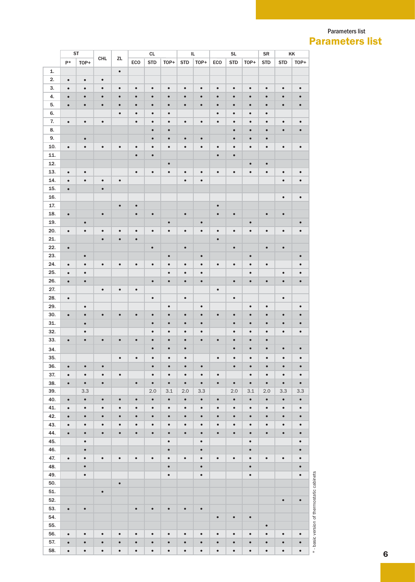#### Parameters list Parameters list

|     | ST<br>CL  |           |            |           |           | IL         |           |            | <b>SL</b> |           | <b>SR</b>  | KK        |            |            |           |
|-----|-----------|-----------|------------|-----------|-----------|------------|-----------|------------|-----------|-----------|------------|-----------|------------|------------|-----------|
|     | $P*$      | TOP+      | <b>CHL</b> | ZL        | ECO       | <b>STD</b> | TOP+      | <b>STD</b> | TOP+      | ECO       | <b>STD</b> | TOP+      | <b>STD</b> | <b>STD</b> | TOP+      |
| 1.  |           |           |            | $\bullet$ |           |            |           |            |           |           |            |           |            |            |           |
| 2.  | $\bullet$ | $\bullet$ | $\bullet$  |           |           |            |           |            |           |           |            |           |            |            |           |
| 3.  | $\bullet$ | $\bullet$ | $\bullet$  | $\bullet$ | $\bullet$ | $\bullet$  | $\bullet$ | $\bullet$  | $\bullet$ | $\bullet$ | $\bullet$  | $\bullet$ | $\bullet$  | $\bullet$  | $\bullet$ |
| 4.  | $\bullet$ | $\bullet$ | $\bullet$  | $\bullet$ | $\bullet$ | $\bullet$  | $\bullet$ | $\bullet$  | $\bullet$ | $\bullet$ | $\bullet$  | $\bullet$ | $\bullet$  | $\bullet$  | $\bullet$ |
| 5.  | $\bullet$ | $\bullet$ | $\bullet$  | $\bullet$ | $\bullet$ | $\bullet$  | $\bullet$ | $\bullet$  | $\bullet$ | $\bullet$ | $\bullet$  | $\bullet$ | $\bullet$  | $\bullet$  | $\bullet$ |
| 6.  |           |           |            | $\bullet$ | $\bullet$ | $\bullet$  | $\bullet$ |            |           | $\bullet$ | $\bullet$  | $\bullet$ | $\bullet$  |            |           |
| 7.  |           |           | $\bullet$  |           |           | $\bullet$  |           |            |           | $\bullet$ |            | $\bullet$ |            |            |           |
|     | $\bullet$ | $\bullet$ |            |           | $\bullet$ |            | $\bullet$ | $\bullet$  | $\bullet$ |           | $\bullet$  |           | $\bullet$  | $\bullet$  | $\bullet$ |
| 8.  |           |           |            |           |           | $\bullet$  | $\bullet$ |            |           |           | $\bullet$  | $\bullet$ | $\bullet$  | $\bullet$  | $\bullet$ |
| 9.  |           | $\bullet$ |            |           |           | $\bullet$  | $\bullet$ | $\bullet$  | $\bullet$ |           | $\bullet$  | $\bullet$ | $\bullet$  |            |           |
| 10. | $\bullet$ | $\bullet$ | $\bullet$  | $\bullet$ | $\bullet$ | $\bullet$  | $\bullet$ | $\bullet$  | $\bullet$ | $\bullet$ | $\bullet$  | $\bullet$ | $\bullet$  | $\bullet$  | $\bullet$ |
| 11. |           |           |            |           | $\bullet$ | $\bullet$  |           |            |           | $\bullet$ | $\bullet$  |           |            |            |           |
| 12. |           |           |            |           |           |            | $\bullet$ |            |           |           |            | $\bullet$ | $\bullet$  |            |           |
| 13. | $\bullet$ | $\bullet$ |            |           | $\bullet$ | $\bullet$  | $\bullet$ | $\bullet$  | $\bullet$ | $\bullet$ | $\bullet$  | $\bullet$ | $\bullet$  | $\bullet$  | $\bullet$ |
| 14. | $\bullet$ | $\bullet$ | $\bullet$  | $\bullet$ |           |            |           | $\bullet$  | $\bullet$ |           |            |           |            | $\bullet$  | $\bullet$ |
| 15. | $\bullet$ |           | $\bullet$  |           |           |            |           |            |           |           |            |           |            |            |           |
| 16. |           |           |            |           |           |            |           |            |           |           |            |           |            | $\bullet$  | $\bullet$ |
| 17. |           |           |            | $\bullet$ | $\bullet$ |            |           |            |           | $\bullet$ |            |           |            |            |           |
| 18. | $\bullet$ |           | $\bullet$  |           | $\bullet$ | $\bullet$  |           | $\bullet$  |           | $\bullet$ | $\bullet$  |           | $\bullet$  | $\bullet$  |           |
| 19. |           | $\bullet$ |            |           |           |            | $\bullet$ |            | $\bullet$ |           |            | $\bullet$ |            |            | $\bullet$ |
| 20. | $\bullet$ | $\bullet$ | $\bullet$  | $\bullet$ | $\bullet$ | $\bullet$  | $\bullet$ | $\bullet$  | $\bullet$ | $\bullet$ | $\bullet$  | $\bullet$ | $\bullet$  | $\bullet$  | $\bullet$ |
| 21. |           |           | $\bullet$  | $\bullet$ | $\bullet$ |            |           |            |           | $\bullet$ |            |           |            |            |           |
| 22. | $\bullet$ |           |            |           |           | $\bullet$  |           | $\bullet$  |           |           | $\bullet$  |           | $\bullet$  | $\bullet$  |           |
| 23. |           | $\bullet$ |            |           |           |            | $\bullet$ |            | $\bullet$ |           |            | $\bullet$ |            |            | $\bullet$ |
| 24. | $\bullet$ | $\bullet$ | $\bullet$  | $\bullet$ | $\bullet$ | $\bullet$  | $\bullet$ | $\bullet$  | ٠         | $\bullet$ | $\bullet$  | $\bullet$ | $\bullet$  |            | $\bullet$ |
| 25. | $\bullet$ | $\bullet$ |            |           |           |            | $\bullet$ | $\bullet$  | $\bullet$ |           |            | $\bullet$ |            | $\bullet$  | $\bullet$ |
| 26. | $\bullet$ | $\bullet$ |            |           |           | $\bullet$  | $\bullet$ | $\bullet$  | $\bullet$ |           | $\bullet$  | $\bullet$ | $\bullet$  | $\bullet$  | $\bullet$ |
| 27. |           |           | $\bullet$  | $\bullet$ | ٠         |            |           |            |           | $\bullet$ |            |           |            |            |           |
| 28. | $\bullet$ |           |            |           |           | $\bullet$  |           | $\bullet$  |           |           | $\bullet$  |           |            | $\bullet$  |           |
| 29. |           | $\bullet$ |            |           |           |            | $\bullet$ |            | $\bullet$ |           |            | $\bullet$ | $\bullet$  |            | $\bullet$ |
| 30. |           | $\bullet$ | $\bullet$  | $\bullet$ | $\bullet$ | $\bullet$  | $\bullet$ | $\bullet$  | $\bullet$ | $\bullet$ | $\bullet$  | $\bullet$ | $\bullet$  | $\bullet$  | $\bullet$ |
|     | $\bullet$ |           |            |           |           |            |           |            |           |           |            |           |            |            |           |
| 31. |           | $\bullet$ |            |           |           | $\bullet$  | $\bullet$ | $\bullet$  | $\bullet$ |           | $\bullet$  | $\bullet$ | $\bullet$  | $\bullet$  | $\bullet$ |
| 32. |           | $\bullet$ |            |           |           | $\bullet$  | $\bullet$ | $\bullet$  | $\bullet$ |           | $\bullet$  | $\bullet$ | $\bullet$  | $\bullet$  | $\bullet$ |
| 33. | $\bullet$ | $\bullet$ | $\bullet$  | $\bullet$ | $\bullet$ | $\bullet$  | $\bullet$ | $\bullet$  | $\bullet$ | $\bullet$ | $\bullet$  | $\bullet$ | $\bullet$  |            |           |
| 34. |           |           |            |           |           | $\bullet$  | $\bullet$ | $\bullet$  |           |           | $\bullet$  | $\bullet$ | $\bullet$  | $\bullet$  | $\bullet$ |
| 35. |           |           |            | $\bullet$ | $\bullet$ | $\bullet$  | $\bullet$ | ٠          |           | $\bullet$ | $\bullet$  | $\bullet$ | $\bullet$  | $\bullet$  | $\bullet$ |
| 36. | $\bullet$ | $\bullet$ | $\bullet$  |           |           | $\bullet$  | $\bullet$ | $\bullet$  | $\bullet$ |           | $\bullet$  | $\bullet$ | $\bullet$  | $\bullet$  | $\bullet$ |
| 37. | $\bullet$ | $\bullet$ | $\bullet$  | $\bullet$ |           | $\bullet$  | $\bullet$ | $\bullet$  | $\bullet$ | $\bullet$ |            | $\bullet$ | $\bullet$  | $\bullet$  | $\bullet$ |
| 38. | $\bullet$ | $\bullet$ | $\bullet$  |           | $\bullet$ | $\bullet$  | $\bullet$ | $\bullet$  | $\bullet$ | $\bullet$ | $\bullet$  | $\bullet$ | $\bullet$  | $\bullet$  | $\bullet$ |
| 39. |           | 3.3       |            |           |           | 2.0        | 3.1       | 2.0        | 3.3       |           | 2.0        | 3.1       | 2.0        | 3.3        | 3.3       |
| 40. | $\bullet$ | $\bullet$ | $\bullet$  | $\bullet$ | $\bullet$ | $\bullet$  | $\bullet$ | $\bullet$  | $\bullet$ | $\bullet$ | $\bullet$  | $\bullet$ | $\bullet$  | $\bullet$  | $\bullet$ |
| 41. | $\bullet$ | $\bullet$ | $\bullet$  | $\bullet$ | $\bullet$ | $\bullet$  | $\bullet$ | $\bullet$  | $\bullet$ | $\bullet$ | $\bullet$  | $\bullet$ | $\bullet$  | $\bullet$  | $\bullet$ |
| 42. | $\bullet$ | $\bullet$ | $\bullet$  | $\bullet$ | $\bullet$ | $\bullet$  | $\bullet$ | $\bullet$  | $\bullet$ | $\bullet$ | $\bullet$  | $\bullet$ | $\bullet$  | $\bullet$  | $\bullet$ |
| 43. | $\bullet$ | $\bullet$ | $\bullet$  | $\bullet$ | $\bullet$ | $\bullet$  | $\bullet$ | $\bullet$  | $\bullet$ | $\bullet$ | $\bullet$  | $\bullet$ | $\bullet$  | $\bullet$  | $\bullet$ |
| 44. | $\bullet$ | $\bullet$ | $\bullet$  | $\bullet$ | $\bullet$ | $\bullet$  | $\bullet$ | $\bullet$  | $\bullet$ | $\bullet$ | $\bullet$  | $\bullet$ | $\bullet$  | $\bullet$  | $\bullet$ |
| 45. |           | $\bullet$ |            |           |           |            | $\bullet$ |            | $\bullet$ |           |            | $\bullet$ |            |            | $\bullet$ |
| 46. |           | $\bullet$ |            |           |           |            | $\bullet$ |            | $\bullet$ |           |            | $\bullet$ |            |            | $\bullet$ |
| 47. | $\bullet$ | $\bullet$ | $\bullet$  | $\bullet$ | $\bullet$ | $\bullet$  | $\bullet$ | $\bullet$  | $\bullet$ | $\bullet$ | $\bullet$  | $\bullet$ | $\bullet$  | $\bullet$  | $\bullet$ |
|     |           | $\bullet$ |            |           |           |            | $\bullet$ |            |           |           |            | $\bullet$ |            |            |           |
| 48. |           |           |            |           |           |            |           |            | $\bullet$ |           |            |           |            |            | $\bullet$ |
| 49. |           | $\bullet$ |            |           |           |            | $\bullet$ |            | $\bullet$ |           |            | $\bullet$ |            |            | $\bullet$ |
| 50. |           |           |            | $\bullet$ |           |            |           |            |           |           |            |           |            |            |           |
| 51. |           |           | $\bullet$  |           |           |            |           |            |           |           |            |           |            |            |           |
| 52. |           |           |            |           |           |            |           |            |           |           |            |           |            | $\bullet$  | $\bullet$ |
| 53. | $\bullet$ | $\bullet$ |            |           | $\bullet$ | $\bullet$  | $\bullet$ | $\bullet$  | $\bullet$ |           |            |           |            |            |           |
| 54. |           |           |            |           |           |            |           |            |           | $\bullet$ | $\bullet$  | $\bullet$ |            |            |           |
| 55. |           |           |            |           |           |            |           |            |           |           |            |           | $\bullet$  |            |           |
| 56. | $\bullet$ | $\bullet$ | $\bullet$  | $\bullet$ | $\bullet$ | $\bullet$  | $\bullet$ | $\bullet$  | $\bullet$ | $\bullet$ | $\bullet$  | $\bullet$ | $\bullet$  | $\bullet$  | $\bullet$ |
| 57. | $\bullet$ | $\bullet$ | $\bullet$  | $\bullet$ | $\bullet$ | $\bullet$  | $\bullet$ | $\bullet$  | $\bullet$ | $\bullet$ | $\bullet$  | $\bullet$ | $\bullet$  | $\bullet$  | $\bullet$ |
| 58. | $\bullet$ | $\bullet$ | $\bullet$  | $\bullet$ | $\bullet$ | $\bullet$  | $\bullet$ | $\bullet$  | $\bullet$ | $\bullet$ | $\bullet$  | $\bullet$ | $\bullet$  | $\bullet$  | $\bullet$ |

\*- basic version of thermostatic cabinets \* - basic version of thermostatic cabinets